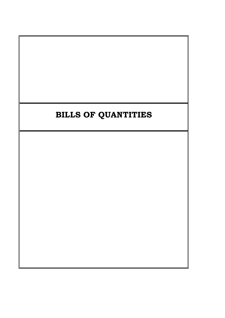# **BILLS OF QUANTITIES**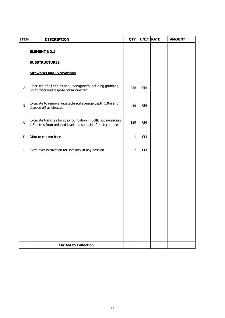| <b>ITEM</b> | <b>DESCRIPTION</b>                                                                                                           | QTY            | UNIT RATE | <b>AMOUNT</b> |
|-------------|------------------------------------------------------------------------------------------------------------------------------|----------------|-----------|---------------|
|             | <b>ELEMENT NO.1</b>                                                                                                          |                |           |               |
|             | <b>SUBSTRUCTURES</b>                                                                                                         |                |           |               |
|             | <b>Siteworks and Excavations</b>                                                                                             |                |           |               |
| A           | Clear site of all shrubs and undergrowth including grubbing<br>up of roots and dispose off as directed.                      | 288            | <b>SM</b> |               |
| B           | Excavate to remove vegetable soil average depth 1.0m and<br>dispose off as directed.                                         | 86             | CM        |               |
| $\mathsf C$ | Excavate trenches for strip foundation in SOIL not exceeding<br>1.5 metres from reduced level and set aside for later re-use | 129            | CM        |               |
| D           | Ditto to column base                                                                                                         | $\mathbf{1}$   | <b>CM</b> |               |
| E           | Extra over excavation for soft rock in any position                                                                          | $\overline{2}$ | CM        |               |
|             |                                                                                                                              |                |           |               |
|             |                                                                                                                              |                |           |               |
|             |                                                                                                                              |                |           |               |
|             |                                                                                                                              |                |           |               |
|             |                                                                                                                              |                |           |               |
|             |                                                                                                                              |                |           |               |
|             | <b>Carried to Collection</b>                                                                                                 |                |           |               |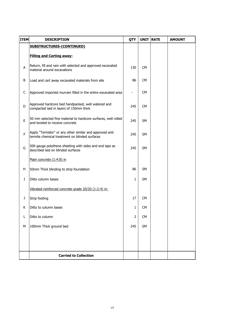| <b>ITEM</b> | <b>DESCRIPTION</b>                                                                                        | QTY | <b>UNIT</b> | <b>RATE</b> | <b>AMOUNT</b> |
|-------------|-----------------------------------------------------------------------------------------------------------|-----|-------------|-------------|---------------|
|             | <b>SUBSTRUCTURES-(CONTINUED)</b>                                                                          |     |             |             |               |
|             | <b>Filling and Carting away-</b>                                                                          |     |             |             |               |
| A           | Return, fill and ram with selected and approved excavated<br>material around excavations                  | 130 | <b>CM</b>   |             |               |
| В           | Load and cart away excavated materials from site                                                          | 86  | <b>CM</b>   |             |               |
| C           | Approved imported murram filled in the entire excavated area                                              |     | <b>CM</b>   |             |               |
| D           | Approved hardcore bed handpacked, well watered and<br>compacted laid in layers of 150mm thick             | 245 | <b>CM</b>   |             |               |
| E           | 50 mm selected fine material to hardcore surfaces, well rolled<br>and leveled to receive concrete         | 245 | SM          |             |               |
| F           | Apply "Termidor" or any other similar and approved anti<br>termite chemical treatment on blinded surfaces | 245 | SM          |             |               |
| G           | 500 gauge polythene sheeting with sides and end laps as<br>described laid on blinded surfaces             | 245 | SM          |             |               |
|             | Plain concrete (1:4:8) in                                                                                 |     |             |             |               |
| н           | 50mm Thick blinding to strip foundation                                                                   | 86  | <b>SM</b>   |             |               |
| I           | Ditto column bases                                                                                        | 1   | SM          |             |               |
|             | Vibrated reinforced concrete grade 20/20 (1:2:4) in:                                                      |     |             |             |               |
| J           | Strip footing                                                                                             | 17  | <b>CM</b>   |             |               |
| Κ           | Ditto to column bases                                                                                     | 1   | <b>CM</b>   |             |               |
| L           | Ditto to column                                                                                           | 2   | <b>CM</b>   |             |               |
| M           | 100mm Thick ground bed                                                                                    | 245 | <b>SM</b>   |             |               |
|             |                                                                                                           |     |             |             |               |
|             |                                                                                                           |     |             |             |               |
|             | <b>Carried to Collection</b>                                                                              |     |             |             |               |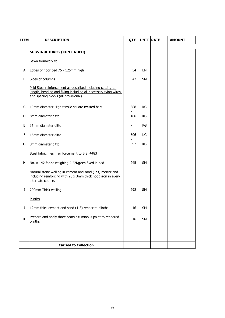| <b>ITEM</b> | <b>DESCRIPTION</b>                                                                                                                                                   | QTY | <b>UNIT RATE</b> | <b>AMOUNT</b> |
|-------------|----------------------------------------------------------------------------------------------------------------------------------------------------------------------|-----|------------------|---------------|
|             | <b>SUBSTRUCTURES-(CONTINUED)</b>                                                                                                                                     |     |                  |               |
|             | Sawn formwork to:                                                                                                                                                    |     |                  |               |
| Α           | Edges of floor bed 75 - 125mm high                                                                                                                                   | 54  | LM               |               |
| B           | Sides of columns                                                                                                                                                     | 42  | SM               |               |
|             | Mild Steel reinforcement as described including cutting to<br>length, bending and fixing including all necessary tying wires<br>and spacing blocks (all provisional) |     |                  |               |
| C           | 10mm diameter High tensile square twisted bars                                                                                                                       | 388 | KG               |               |
| D           | 8mm diameter ditto                                                                                                                                                   | 186 | КG               |               |
| E           | 16mm diameter ditto                                                                                                                                                  | -   | КG               |               |
| F           | 16mm diameter ditto                                                                                                                                                  | 506 | KG               |               |
| G           | 8mm diameter ditto                                                                                                                                                   | 92  | KG               |               |
|             | Steel fabric mesh reinforcement to B.S. 4483                                                                                                                         |     |                  |               |
| H           | No. A 142 fabric weighing 2.22Kg/sm fixed in bed                                                                                                                     | 245 | SM               |               |
|             | Natural stone walling in cement and sand (1:3) mortar and<br>including reinforcing with 20 x 3mm thick hoop iron in every<br>alternate course.                       |     |                  |               |
| I           | 200mm Thick walling                                                                                                                                                  | 298 | SM               |               |
|             | Plinths                                                                                                                                                              |     |                  |               |
| J           | 12mm thick cement and sand (1:3) render to plinths                                                                                                                   | 16  | SM               |               |
| К           | Prepare and apply three coats bituminous paint to rendered<br>plinths                                                                                                | 16  | SM               |               |
|             |                                                                                                                                                                      |     |                  |               |
|             | <b>Carried to Collection</b>                                                                                                                                         |     |                  |               |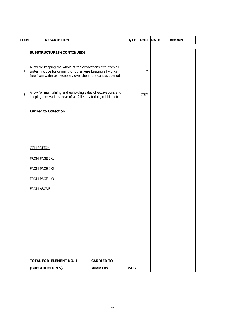| <b>ITEM</b> | <b>DESCRIPTION</b>                                                                                                                                                                          | QTY         | UNIT RATE   | <b>AMOUNT</b> |
|-------------|---------------------------------------------------------------------------------------------------------------------------------------------------------------------------------------------|-------------|-------------|---------------|
|             | <b>SUBSTRUCTURES-(CONTINUED)</b>                                                                                                                                                            |             |             |               |
| Α           | Allow for keeping the whole of the excavations free from all<br>water; include for draining or other wise keeping all works<br>free from water as necessary over the entire contract period |             | <b>ITEM</b> |               |
| B           | Allow for maintaining and upholding sides of excavations and<br>keeping excavations clear of all fallen materials, rubbish etc                                                              |             | <b>ITEM</b> |               |
|             | <b>Carried to Collection</b>                                                                                                                                                                |             |             |               |
|             |                                                                                                                                                                                             |             |             |               |
|             |                                                                                                                                                                                             |             |             |               |
|             | <b>COLLECTION</b>                                                                                                                                                                           |             |             |               |
|             | FROM PAGE 1/1                                                                                                                                                                               |             |             |               |
|             | FROM PAGE 1/2                                                                                                                                                                               |             |             |               |
|             | FROM PAGE 1/3                                                                                                                                                                               |             |             |               |
|             | FROM ABOVE                                                                                                                                                                                  |             |             |               |
|             |                                                                                                                                                                                             |             |             |               |
|             |                                                                                                                                                                                             |             |             |               |
|             |                                                                                                                                                                                             |             |             |               |
|             |                                                                                                                                                                                             |             |             |               |
|             |                                                                                                                                                                                             |             |             |               |
|             | <b>TOTAL FOR ELEMENT NO. 1</b><br><b>CARRIED TO</b>                                                                                                                                         |             |             |               |
|             | (SUBSTRUCTURES)<br><b>SUMMARY</b>                                                                                                                                                           | <b>KSHS</b> |             |               |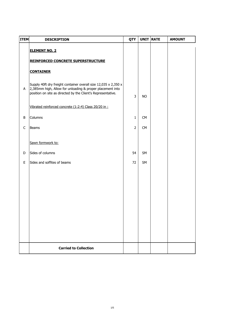| <b>ITEM</b> | <b>DESCRIPTION</b>                                                                                                                                                                           | QTY            | UNIT RATE | <b>AMOUNT</b> |
|-------------|----------------------------------------------------------------------------------------------------------------------------------------------------------------------------------------------|----------------|-----------|---------------|
|             | <b>ELEMENT NO. 2</b>                                                                                                                                                                         |                |           |               |
|             | <b>REINFORCED CONCRETE SUPERSTRUCTURE</b>                                                                                                                                                    |                |           |               |
|             | <b>CONTAINER</b>                                                                                                                                                                             |                |           |               |
| A           | Supply 40ft dry freight container overall size 12,035 x 2,350 x<br>2,385mm high, Allow for unloading & proper placement into<br>position on site as directed by the Client's Representative. | $\overline{3}$ | <b>NO</b> |               |
|             | Vibrated reinforced concrete (1:2:4) Class 20/20 in :                                                                                                                                        |                |           |               |
| B           | Columns                                                                                                                                                                                      | $\mathbf{1}$   | CM        |               |
| $\mathsf C$ | <b>Beams</b>                                                                                                                                                                                 | $\overline{2}$ | CM        |               |
|             | Sawn formwork to:                                                                                                                                                                            |                |           |               |
| D           | Sides of columns                                                                                                                                                                             | 54             | SM        |               |
| E           | Sides and soffites of beams                                                                                                                                                                  | 72             | SM        |               |
|             |                                                                                                                                                                                              |                |           |               |
|             |                                                                                                                                                                                              |                |           |               |
|             |                                                                                                                                                                                              |                |           |               |
|             |                                                                                                                                                                                              |                |           |               |
|             |                                                                                                                                                                                              |                |           |               |
|             |                                                                                                                                                                                              |                |           |               |
|             |                                                                                                                                                                                              |                |           |               |
|             | <b>Carried to Collection</b>                                                                                                                                                                 |                |           |               |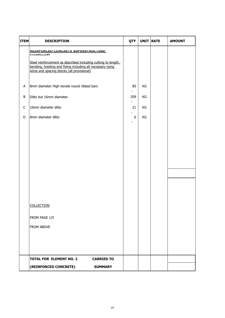| <b>ITEM</b> | <b>DESCRIPTION</b>                                                                                                                                                        | QTY   | <b>UNIT RATE</b> | <b>AMOUNT</b> |
|-------------|---------------------------------------------------------------------------------------------------------------------------------------------------------------------------|-------|------------------|---------------|
|             | <b>KEINFUKLED LUNLKEIE SUPEKSIKULIUKE</b><br>$f$ aantin $\overline{f}$                                                                                                    |       |                  |               |
|             | Steel reinforcement as described including cutting to length,<br>bending, hoisting and fixing including all necessary tying<br>wires and spacing blocks (all provisional) |       |                  |               |
| A           | 8mm diameter High tensile round ribbed bars                                                                                                                               | 85    | KG               |               |
| $\sf B$     | Ditto but 16mm diameter.                                                                                                                                                  | 209   | KG               |               |
| $\mathsf C$ | 16mm diameter ditto                                                                                                                                                       | 21    | KG               |               |
| D           | 8mm diameter ditto                                                                                                                                                        | $6\,$ | KG               |               |
|             |                                                                                                                                                                           |       |                  |               |
|             |                                                                                                                                                                           |       |                  |               |
|             |                                                                                                                                                                           |       |                  |               |
|             |                                                                                                                                                                           |       |                  |               |
|             |                                                                                                                                                                           |       |                  |               |
|             |                                                                                                                                                                           |       |                  |               |
|             |                                                                                                                                                                           |       |                  |               |
|             | <b>COLLECTION</b>                                                                                                                                                         |       |                  |               |
|             | FROM PAGE 1/5                                                                                                                                                             |       |                  |               |
|             | FROM ABOVE                                                                                                                                                                |       |                  |               |
|             |                                                                                                                                                                           |       |                  |               |
|             |                                                                                                                                                                           |       |                  |               |
|             | <b>TOTAL FOR ELEMENT NO. 2</b><br><b>CARRIED TO</b>                                                                                                                       |       |                  |               |
|             | (REINFORCED CONCRETE)<br><b>SUMMARY</b>                                                                                                                                   |       |                  |               |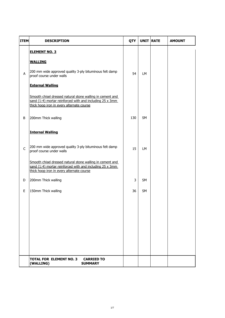| <b>ITEM</b>  | <b>DESCRIPTION</b>                                                                                                                                                 | QTY | UNIT RATE | <b>AMOUNT</b> |
|--------------|--------------------------------------------------------------------------------------------------------------------------------------------------------------------|-----|-----------|---------------|
|              | <b>ELEMENT NO. 3</b>                                                                                                                                               |     |           |               |
|              | <b>WALLING</b>                                                                                                                                                     |     |           |               |
| A            | 200 mm wide approved quality 3-ply bituminous felt damp<br>proof course under walls                                                                                | 54  | LM        |               |
|              | <b>External Walling</b>                                                                                                                                            |     |           |               |
|              | Smooth chisel dressed natural stone walling in cement and<br>sand (1:4) mortar reinforced with and including 25 x 3mm<br>thick hoop iron in every alternate course |     |           |               |
| B            | 200mm Thick walling                                                                                                                                                | 130 | <b>SM</b> |               |
|              | <b>Internal Walling</b>                                                                                                                                            |     |           |               |
| $\mathsf{C}$ | 200 mm wide approved quality 3-ply bituminous felt damp<br>proof course under walls                                                                                | 15  | LM        |               |
|              | Smooth chisel dressed natural stone walling in cement and<br>sand (1:4) mortar reinforced with and including 25 x 3mm<br>thick hoop iron in every alternate course |     |           |               |
| D            | 200mm Thick walling                                                                                                                                                | 3   | SM        |               |
| E            | 150mm Thick walling                                                                                                                                                | 36  | <b>SM</b> |               |
|              |                                                                                                                                                                    |     |           |               |
|              |                                                                                                                                                                    |     |           |               |
|              |                                                                                                                                                                    |     |           |               |
|              |                                                                                                                                                                    |     |           |               |
|              |                                                                                                                                                                    |     |           |               |
|              | <b>TOTAL FOR ELEMENT NO. 3</b><br><b>CARRIED TO</b><br>(WALLING)<br><b>SUMMARY</b>                                                                                 |     |           |               |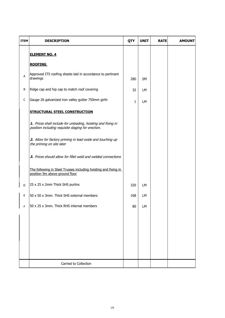| <b>ITEM</b> | <b>DESCRIPTION</b>                                                                                                  | QTY | <b>UNIT</b> | <b>RATE</b> | <b>AMOUNT</b> |
|-------------|---------------------------------------------------------------------------------------------------------------------|-----|-------------|-------------|---------------|
|             | <b>ELEMENT NO. 4</b>                                                                                                |     |             |             |               |
|             | <b>ROOFING</b>                                                                                                      |     |             |             |               |
| А           | Approved IT5 roofing sheets laid in accordance to pertinant<br>drawings                                             | 280 | <b>SM</b>   |             |               |
| В           | Ridge cap and hip cap to match roof covering                                                                        | 32  | LM          |             |               |
| C           | Gauge 26 galvanized iron valley gutter 750mm girth                                                                  | 1   | LM          |             |               |
|             | <b>STRUCTURAL STEEL CONSTRUCTION</b>                                                                                |     |             |             |               |
|             | 1. Prices shall include for unloading, hoisting and fixing in<br>position including requisite staging for erection. |     |             |             |               |
|             | 2. Allow for factory priming in lead oxide and touching up<br>the priming on site later                             |     |             |             |               |
|             | 3. Prices should allow for fillet weld and welded connections                                                       |     |             |             |               |
|             | The following in Steel Trusses including hoisting and fixing in<br>position 9m above ground floor                   |     |             |             |               |
| D           | 25 x 25 x 2mm Thick SHS purlins                                                                                     | 320 | LM          |             |               |
| Ε           | 50 x 50 x 3mm. Thick SHS external members                                                                           | 168 | <b>LM</b>   |             |               |
| $\mathsf F$ | 50 x 25 x 3mm. Thick RHS internal members                                                                           | 80  | LM          |             |               |
|             |                                                                                                                     |     |             |             |               |
|             |                                                                                                                     |     |             |             |               |
|             |                                                                                                                     |     |             |             |               |
|             |                                                                                                                     |     |             |             |               |
|             | Carried to Collection                                                                                               |     |             |             |               |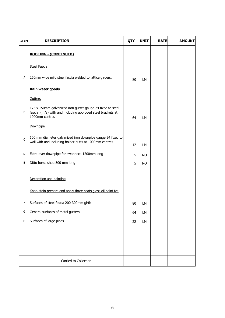| <b>ITEM</b> | <b>DESCRIPTION</b>                                                                                                                         | QTY | <b>UNIT</b> | <b>RATE</b> | <b>AMOUNT</b> |
|-------------|--------------------------------------------------------------------------------------------------------------------------------------------|-----|-------------|-------------|---------------|
|             | <b>ROOFING - (CONTINUED)</b>                                                                                                               |     |             |             |               |
|             | <b>Steel Fascia</b>                                                                                                                        |     |             |             |               |
| Α           | 250mm wide mild steel fascia welded to lattice girders.                                                                                    | 80  | LM          |             |               |
|             | Rain water goods                                                                                                                           |     |             |             |               |
|             | Gutters                                                                                                                                    |     |             |             |               |
| В           | 175 x 150mm galvanized iron gutter gauge 24 fixed to steel<br>fascia (m/s) with and including approved steel brackets at<br>1000mm centres | 64  | LM          |             |               |
|             | Downpipe                                                                                                                                   |     |             |             |               |
| $\mathsf C$ | 100 mm diameter galvanized iron downpipe gauge 24 fixed to<br>wall with and including holder butts at 1000mm centres                       | 12  | LM          |             |               |
| D           | Extra over downpipe for swanneck 1200mm long                                                                                               | 5   | <b>NO</b>   |             |               |
| Е           | Ditto horse shoe 500 mm long                                                                                                               | 5   | <b>NO</b>   |             |               |
|             | Decoration and painting                                                                                                                    |     |             |             |               |
|             | Knot, stain prepare and apply three coats gloss oil paint to:                                                                              |     |             |             |               |
| F           | Surfaces of steel fascia 200-300mm girth                                                                                                   | 80  | LМ          |             |               |
| G           | General surfaces of metal gutters                                                                                                          | 64  | LM          |             |               |
| Н           | Surfaces of large pipes                                                                                                                    | 22  | LM          |             |               |
|             |                                                                                                                                            |     |             |             |               |
|             |                                                                                                                                            |     |             |             |               |
|             |                                                                                                                                            |     |             |             |               |
|             | Carried to Collection                                                                                                                      |     |             |             |               |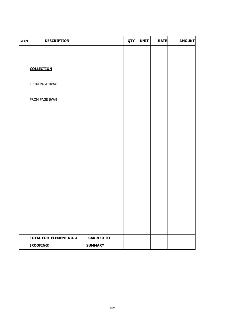| <b>ITEM</b> | <b>DESCRIPTION</b>             |                   | QTY | <b>UNIT</b> | <b>RATE</b> | <b>AMOUNT</b> |
|-------------|--------------------------------|-------------------|-----|-------------|-------------|---------------|
|             |                                |                   |     |             |             |               |
|             |                                |                   |     |             |             |               |
|             | <b>COLLECTION</b>              |                   |     |             |             |               |
|             | FROM PAGE BW/8                 |                   |     |             |             |               |
|             | FROM PAGE BW/9                 |                   |     |             |             |               |
|             |                                |                   |     |             |             |               |
|             |                                |                   |     |             |             |               |
|             |                                |                   |     |             |             |               |
|             |                                |                   |     |             |             |               |
|             |                                |                   |     |             |             |               |
|             |                                |                   |     |             |             |               |
|             |                                |                   |     |             |             |               |
|             |                                |                   |     |             |             |               |
|             |                                |                   |     |             |             |               |
|             |                                |                   |     |             |             |               |
|             |                                |                   |     |             |             |               |
|             | <b>TOTAL FOR ELEMENT NO. 4</b> | <b>CARRIED TO</b> |     |             |             |               |
|             | (ROOFING)<br><b>SUMMARY</b>    |                   |     |             |             |               |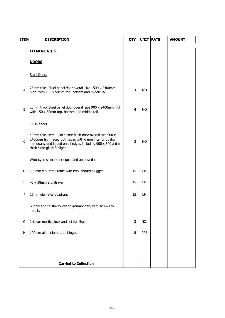| <b>ITEM</b>  | <b>DESCRIPTION</b>                                                                                                                                                                                                  | QTY            | UNIT RATE  | <b>AMOUNT</b> |
|--------------|---------------------------------------------------------------------------------------------------------------------------------------------------------------------------------------------------------------------|----------------|------------|---------------|
|              | <b>ELEMENT NO. 5</b>                                                                                                                                                                                                |                |            |               |
|              | <b>DOORS</b>                                                                                                                                                                                                        |                |            |               |
|              | <b>Steel Doors</b>                                                                                                                                                                                                  |                |            |               |
| A            | 25mm thick Steel panel door overall size 1500 x 2400mm<br>high with 150 x 50mm top, bottom and middle rail.                                                                                                         | 4              | <b>NO</b>  |               |
| B            | 25mm thick Steel panel door overall size 900 x 2400mm high<br>with 150 x 50mm top, bottom and middle rail.                                                                                                          | 4              | <b>NO</b>  |               |
|              | Flush doors                                                                                                                                                                                                         |                |            |               |
| $\mathsf{C}$ | 45mm thick semi - solid core flush door overall size 900 x<br>2400mm high, faced both sides with 6 mm interior quality<br>mahogany and lipped on all edges including 900 x 300 x 6mm<br>thick clear glass fanlight. | $\overline{3}$ | <b>NO</b>  |               |
|              | Wrot cypress or other equal and approved :-                                                                                                                                                                         |                |            |               |
| D            | 100mm x 50mm Frame with two labours plugged                                                                                                                                                                         | 15             | LМ         |               |
| E            | 45 x 38mm architrave                                                                                                                                                                                                | 15             | LM         |               |
| F            | 25mm diameter quadrant                                                                                                                                                                                              | 15             | LM         |               |
|              | Supply and fix the following ironmongery with screws to<br><u>match.</u>                                                                                                                                            |                |            |               |
| G            | 2-Lever mortice lock and set furniture                                                                                                                                                                              | 3              | NO.        |               |
| H            | 100mm aluminium butts hinges                                                                                                                                                                                        | 5              | <b>PRS</b> |               |
|              |                                                                                                                                                                                                                     |                |            |               |
|              |                                                                                                                                                                                                                     |                |            |               |
|              | <b>Carried to Collection</b>                                                                                                                                                                                        |                |            |               |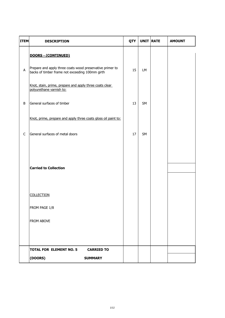| <b>ITEM</b> | <b>DESCRIPTION</b>                                                                                           | QTY | <b>UNIT RATE</b> | <b>AMOUNT</b> |
|-------------|--------------------------------------------------------------------------------------------------------------|-----|------------------|---------------|
|             | DOORS - (CONTINUED)                                                                                          |     |                  |               |
| A           | Prepare and apply three coats wood preservative primer to<br>backs of timber frame not exceeding 100mm girth | 15  | LM               |               |
|             | Knot, stain, prime, prepare and apply three coats clear<br>polyurethane varnish to:                          |     |                  |               |
| B           | General surfaces of timber                                                                                   | 13  | SM               |               |
|             | Knot, prime, prepare and apply three coats gloss oil paint to:                                               |     |                  |               |
| $\mathsf C$ | General surfaces of metal doors                                                                              | 17  | SM               |               |
|             |                                                                                                              |     |                  |               |
|             | <b>Carried to Collection</b>                                                                                 |     |                  |               |
|             |                                                                                                              |     |                  |               |
|             | <b>COLLECTION</b>                                                                                            |     |                  |               |
|             | FROM PAGE 1/8                                                                                                |     |                  |               |
|             | FROM ABOVE                                                                                                   |     |                  |               |
|             |                                                                                                              |     |                  |               |
|             | <b>TOTAL FOR ELEMENT NO. 5</b><br><b>CARRIED TO</b>                                                          |     |                  |               |
|             | (DOORS)<br><b>SUMMARY</b>                                                                                    |     |                  |               |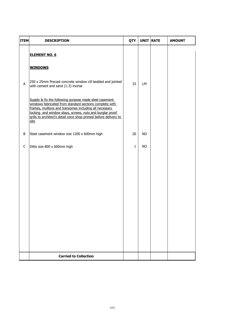| <b>ITEM</b> | <b>DESCRIPTION</b>                                                                                                                                                                                                                                                                                                  | QTY          | UNIT RATE | <b>AMOUNT</b> |
|-------------|---------------------------------------------------------------------------------------------------------------------------------------------------------------------------------------------------------------------------------------------------------------------------------------------------------------------|--------------|-----------|---------------|
|             | <b>ELEMENT NO. 6</b>                                                                                                                                                                                                                                                                                                |              |           |               |
| A           | <b>WINDOWS</b><br>250 x 25mm Precast concrete window cill bedded and jointed<br>with cement and sand (1:3) mortar                                                                                                                                                                                                   | 33           | LM        |               |
|             | Supply & fix the following purpose made steel casement<br>windows fabricated from standard sections complete with<br>frames, mullions and transomes including all necessary<br>locking and window stays, screws, nuts and burglar proof<br>grills to architect's detail once shop primed before delivery to<br>site |              |           |               |
| B           | Steel casement window size 1200 x 600mm high                                                                                                                                                                                                                                                                        | 20           | <b>NO</b> |               |
| $\mathsf C$ | Ditto size 800 x 600mm high                                                                                                                                                                                                                                                                                         | $\mathbf{1}$ | <b>NO</b> |               |
|             |                                                                                                                                                                                                                                                                                                                     |              |           |               |
|             | <b>Carried to Collection</b>                                                                                                                                                                                                                                                                                        |              |           |               |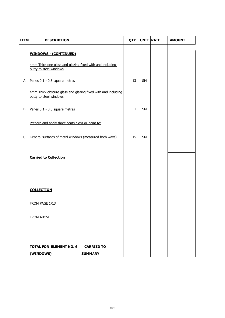| <b>ITEM</b> | <b>DESCRIPTION</b>                                                                     | QTY          | <b>UNIT RATE</b> | <b>AMOUNT</b> |
|-------------|----------------------------------------------------------------------------------------|--------------|------------------|---------------|
|             | <b>WINDOWS - (CONTINUED)</b>                                                           |              |                  |               |
|             | 4mm Thick one glass and glazing fixed with and including<br>putty to steel windows     |              |                  |               |
| A           | Panes 0.1 - 0.5 square metres                                                          | 13           | SM               |               |
|             | 4mm Thick obscure glass and glazing fixed with and including<br>putty to steel windows |              |                  |               |
| B           | Panes 0.1 - 0.5 square metres                                                          | $\mathbf{1}$ | SM               |               |
|             | Prepare and apply three coats gloss oil paint to:                                      |              |                  |               |
| $\mathsf C$ | General surfaces of metal windows (measured both ways)                                 | 15           | SM               |               |
|             | <b>Carried to Collection</b>                                                           |              |                  |               |
|             | <b>COLLECTION</b>                                                                      |              |                  |               |
|             | FROM PAGE 1/13                                                                         |              |                  |               |
|             | FROM ABOVE                                                                             |              |                  |               |
|             |                                                                                        |              |                  |               |
|             | <b>TOTAL FOR ELEMENT NO. 6</b><br><b>CARRIED TO</b>                                    |              |                  |               |
|             | (WINDOWS)<br><b>SUMMARY</b>                                                            |              |                  |               |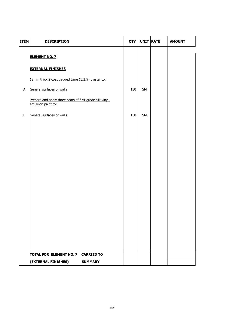| <b>ITEM</b> | <b>DESCRIPTION</b>                                                            | QTY | UNIT RATE | <b>AMOUNT</b> |
|-------------|-------------------------------------------------------------------------------|-----|-----------|---------------|
|             | <b>ELEMENT NO. 7</b>                                                          |     |           |               |
|             | <b>EXTERNAL FINISHES</b>                                                      |     |           |               |
|             | 12mm thick 2 coat gauged Lime (1:2:9) plaster to:                             |     |           |               |
| $\sf A$     | General surfaces of walls                                                     | 130 | SM        |               |
|             | Prepare and apply three coats of first grade silk vinyl<br>emulsion paint to: |     |           |               |
| B           | General surfaces of walls                                                     | 130 | SM        |               |
|             |                                                                               |     |           |               |
|             |                                                                               |     |           |               |
|             |                                                                               |     |           |               |
|             |                                                                               |     |           |               |
|             |                                                                               |     |           |               |
|             |                                                                               |     |           |               |
|             |                                                                               |     |           |               |
|             |                                                                               |     |           |               |
|             |                                                                               |     |           |               |
|             |                                                                               |     |           |               |
|             |                                                                               |     |           |               |
|             |                                                                               |     |           |               |
|             | TOTAL FOR ELEMENT NO. 7 CARRIED TO                                            |     |           |               |
|             | (EXTERNAL FINISHES)<br><b>SUMMARY</b>                                         |     |           |               |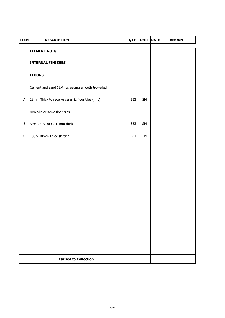| <b>ITEM</b> | <b>DESCRIPTION</b>                               | QTY | UNIT RATE | <b>AMOUNT</b> |
|-------------|--------------------------------------------------|-----|-----------|---------------|
|             | <b>ELEMENT NO. 8</b>                             |     |           |               |
|             | <b>INTERNAL FINISHES</b>                         |     |           |               |
|             | <b>FLOORS</b>                                    |     |           |               |
|             | Cement and sand (1:4) screeding smooth trowelled |     |           |               |
| A           | 28mm Thick to receive ceramic floor tiles (m.s)  | 353 | SM        |               |
|             | Non-Slip ceramic floor tiles                     |     |           |               |
| B           | Size 300 x 300 x 12mm thick                      | 353 | SM        |               |
| $\mathsf C$ | 100 x 20mm Thick skirting                        | 81  | LM        |               |
|             |                                                  |     |           |               |
|             |                                                  |     |           |               |
|             |                                                  |     |           |               |
|             |                                                  |     |           |               |
|             |                                                  |     |           |               |
|             |                                                  |     |           |               |
|             |                                                  |     |           |               |
|             |                                                  |     |           |               |
|             |                                                  |     |           |               |
|             |                                                  |     |           |               |
|             | <b>Carried to Collection</b>                     |     |           |               |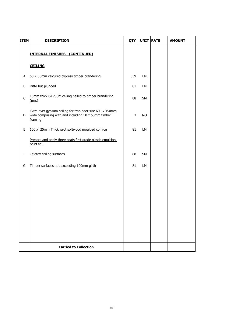| <b>ITEM</b> | <b>DESCRIPTION</b>                                                                                                         | QTY | UNIT RATE | <b>AMOUNT</b> |
|-------------|----------------------------------------------------------------------------------------------------------------------------|-----|-----------|---------------|
|             | <b>INTERNAL FINISHES - (CONTINUED)</b>                                                                                     |     |           |               |
|             | <b>CEILING</b>                                                                                                             |     |           |               |
| A           | 50 X 50mm celcured cypress timber brandering                                                                               | 539 | LM.       |               |
| B           | Ditto but plugged                                                                                                          | 81  | LM        |               |
| $\mathsf C$ | 10mm thick GYPSUM ceiling nailed to timber brandering<br>(m/s)                                                             | 88  | SM        |               |
| D           | Extra over gypsum ceiling for trap door size 600 x 450mm<br>wide comprising with and including 50 x 50mm timber<br>framing | 3   | <b>NO</b> |               |
| E           | 100 x 25mm Thick wrot softwood moulded cornice                                                                             | 81  | LM        |               |
|             | Prepare and apply three coats first grade plastic emulsion<br>paint to:                                                    |     |           |               |
| F           | Celotex ceiling surfaces                                                                                                   | 88  | SM        |               |
| G           | Timber surfaces not exceeding 100mm girth                                                                                  | 81  | LM        |               |
|             |                                                                                                                            |     |           |               |
|             |                                                                                                                            |     |           |               |
|             |                                                                                                                            |     |           |               |
|             |                                                                                                                            |     |           |               |
|             |                                                                                                                            |     |           |               |
|             |                                                                                                                            |     |           |               |
|             | <b>Carried to Collection</b>                                                                                               |     |           |               |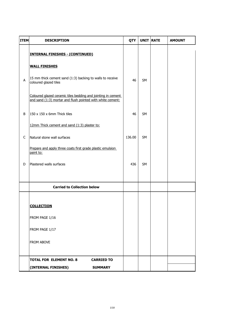| <b>ITEM</b> | <b>DESCRIPTION</b>                                                                                                         | QTY    | <b>UNIT RATE</b> | <b>AMOUNT</b> |
|-------------|----------------------------------------------------------------------------------------------------------------------------|--------|------------------|---------------|
|             | <b>INTERNAL FINISHES - (CONTINUED)</b>                                                                                     |        |                  |               |
|             | <b>WALL FINISHES</b>                                                                                                       |        |                  |               |
| A           | 15 mm thick cement sand (1:3) backing to walls to receive<br>coloured glazed tiles                                         | 46     | <b>SM</b>        |               |
|             | Coloured glazed ceramic tiles bedding and jointing in cement<br>and sand (1:3) mortar and flush pointed with white cement: |        |                  |               |
| B           | 150 x 150 x 6mm Thick tiles                                                                                                | 46     | <b>SM</b>        |               |
|             | 12mm Thick cement and sand (1:3) plaster to:                                                                               |        |                  |               |
| $\mathsf C$ | Natural stone wall surfaces                                                                                                | 136.00 | <b>SM</b>        |               |
|             | Prepare and apply three coats first grade plastic emulsion<br>paint to:                                                    |        |                  |               |
| D           | Plastered walls surfaces                                                                                                   | 436    | <b>SM</b>        |               |
|             |                                                                                                                            |        |                  |               |
|             | <b>Carried to Collection below</b>                                                                                         |        |                  |               |
|             |                                                                                                                            |        |                  |               |
|             | <b>COLLECTION</b>                                                                                                          |        |                  |               |
|             | FROM PAGE 1/16                                                                                                             |        |                  |               |
|             | FROM PAGE 1/17                                                                                                             |        |                  |               |
|             | <b>FROM ABOVE</b>                                                                                                          |        |                  |               |
|             | <b>TOTAL FOR ELEMENT NO. 8</b><br><b>CARRIED TO</b>                                                                        |        |                  |               |
|             | (INTERNAL FINISHES)<br><b>SUMMARY</b>                                                                                      |        |                  |               |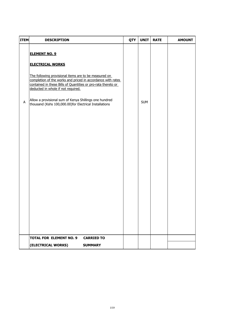| <b>ITEM</b> | <b>DESCRIPTION</b>                                                                                                                                                                                                                                                                                                                                                                                 | QTY | <b>UNIT</b> | <b>RATE</b> | <b>AMOUNT</b> |
|-------------|----------------------------------------------------------------------------------------------------------------------------------------------------------------------------------------------------------------------------------------------------------------------------------------------------------------------------------------------------------------------------------------------------|-----|-------------|-------------|---------------|
| A           | <b>ELEMENT NO. 9</b><br><b>ELECTRICAL WORKS</b><br>The following provisional items are to be measured on<br>completion of the works and priced in accordance with rates<br>contained in these Bills of Quantities or pro-rata thereto or<br>deducted in whole if not required.<br>Allow a provisional sum of Kenya Shillings one hundred<br>thousand (Kshs 100,000.00)for Electrical Installations |     | <b>SUM</b>  |             |               |
|             | <b>TOTAL FOR ELEMENT NO. 9</b><br><b>CARRIED TO</b>                                                                                                                                                                                                                                                                                                                                                |     |             |             |               |
|             | (ELECTRICAL WORKS)<br><b>SUMMARY</b>                                                                                                                                                                                                                                                                                                                                                               |     |             |             |               |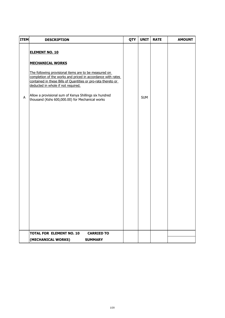| <b>ITEM</b> | <b>DESCRIPTION</b>                                                                                                                                                                                                                                                                                                                                                                           | QTY | <b>UNIT</b> | <b>RATE</b> | <b>AMOUNT</b> |
|-------------|----------------------------------------------------------------------------------------------------------------------------------------------------------------------------------------------------------------------------------------------------------------------------------------------------------------------------------------------------------------------------------------------|-----|-------------|-------------|---------------|
| A           | <b>ELEMENT NO. 10</b><br><b>MECHANICAL WORKS</b><br>The following provisional items are to be measured on<br>completion of the works and priced in accordance with rates<br>contained in these Bills of Quantities or pro-rata thereto or<br>deducted in whole if not required.<br>Allow a provisional sum of Kenya Shillings six hundred<br>thousand (Kshs 600,000.00) for Mechanical works |     | <b>SUM</b>  |             |               |
|             | <b>TOTAL FOR ELEMENT NO. 10</b><br><b>CARRIED TO</b>                                                                                                                                                                                                                                                                                                                                         |     |             |             |               |
|             |                                                                                                                                                                                                                                                                                                                                                                                              |     |             |             |               |
|             | (MECHANICAL WORKS)<br><b>SUMMARY</b>                                                                                                                                                                                                                                                                                                                                                         |     |             |             |               |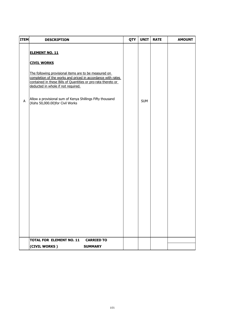| <b>ITEM</b> | <b>DESCRIPTION</b>                                                                                                                                                                                                                                | QTY | <b>UNIT</b> | <b>RATE</b> | <b>AMOUNT</b> |
|-------------|---------------------------------------------------------------------------------------------------------------------------------------------------------------------------------------------------------------------------------------------------|-----|-------------|-------------|---------------|
|             | <b>ELEMENT NO. 11</b>                                                                                                                                                                                                                             |     |             |             |               |
|             | <b>CIVIL WORKS</b><br>The following provisional items are to be measured on<br>completion of the works and priced in accordance with rates<br>contained in these Bills of Quantities or pro-rata thereto or<br>deducted in whole if not required. |     |             |             |               |
| $\sf A$     | Allow a provisional sum of Kenya Shillings Fifty thousand<br>(Kshs 50,000.00)for Civil Works                                                                                                                                                      |     | <b>SUM</b>  |             |               |
|             |                                                                                                                                                                                                                                                   |     |             |             |               |
|             |                                                                                                                                                                                                                                                   |     |             |             |               |
|             |                                                                                                                                                                                                                                                   |     |             |             |               |
|             |                                                                                                                                                                                                                                                   |     |             |             |               |
|             |                                                                                                                                                                                                                                                   |     |             |             |               |
|             |                                                                                                                                                                                                                                                   |     |             |             |               |
|             |                                                                                                                                                                                                                                                   |     |             |             |               |
|             | <b>TOTAL FOR ELEMENT NO. 11</b><br><b>CARRIED TO</b>                                                                                                                                                                                              |     |             |             |               |
|             | (CIVIL WORKS)<br><b>SUMMARY</b>                                                                                                                                                                                                                   |     |             |             |               |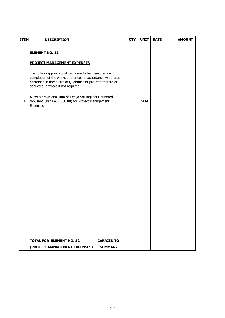| <b>ITEM</b> | <b>DESCRIPTION</b>                                                                                                                                                                                                                                                                                                                                                                            | QTY | <b>UNIT</b> | <b>RATE</b> | <b>AMOUNT</b> |
|-------------|-----------------------------------------------------------------------------------------------------------------------------------------------------------------------------------------------------------------------------------------------------------------------------------------------------------------------------------------------------------------------------------------------|-----|-------------|-------------|---------------|
|             | <b>ELEMENT NO. 12</b>                                                                                                                                                                                                                                                                                                                                                                         |     |             |             |               |
| A           | <b>PROJECT MANAGEMENT EXPENSES</b><br>The following provisional items are to be measured on<br>completion of the works and priced in accordance with rates<br>contained in these Bills of Quantities or pro-rata thereto or<br>deducted in whole if not required.<br>Allow a provisional sum of Kenya Shillings four hundred<br>thousand (Kshs 400,000.00) for Project Management<br>Expenses |     | <b>SUM</b>  |             |               |
|             | <b>TOTAL FOR ELEMENT NO. 12</b><br><b>CARRIED TO</b>                                                                                                                                                                                                                                                                                                                                          |     |             |             |               |
|             | (PROJECT MANAGEMENT EXPENSES)<br><b>SUMMARY</b>                                                                                                                                                                                                                                                                                                                                               |     |             |             |               |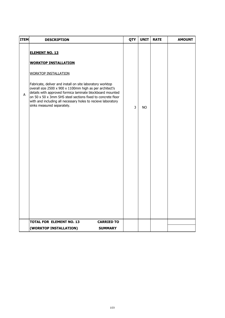| <b>ITEM</b> | <b>DESCRIPTION</b>                                                                                                                                                                                                                                                                                                                                                                                                                     | QTY | <b>UNIT</b> | <b>RATE</b> | <b>AMOUNT</b> |
|-------------|----------------------------------------------------------------------------------------------------------------------------------------------------------------------------------------------------------------------------------------------------------------------------------------------------------------------------------------------------------------------------------------------------------------------------------------|-----|-------------|-------------|---------------|
| Α           | <b>ELEMENT NO. 13</b><br><b>WORKTOP INSTALLATION</b><br><b>WORKTOP INSTALLATION</b><br>Fabricate, deliver and install on site laboratory worktop<br>overall size 2500 x 900 x 1100mm high as per architect's<br>details with approved formica laminate blockboard mounted<br>on 50 x 50 x 3mm SHS steel sections fixed to concrete floor<br>with and including all necessary holes to recieve laboratory<br>sinks measured separately. | 3   | <b>NO</b>   |             |               |
|             | <b>TOTAL FOR ELEMENT NO. 13</b><br><b>CARRIED TO</b><br><b>SUMMARY</b><br>(WORKTOP INSTALLATION)                                                                                                                                                                                                                                                                                                                                       |     |             |             |               |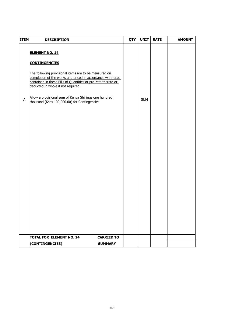| <b>ITEM</b> | <b>DESCRIPTION</b>                                                                                                                                                                                                                                                                                                                                                                     | QTY | <b>UNIT</b> | <b>RATE</b> | <b>AMOUNT</b> |
|-------------|----------------------------------------------------------------------------------------------------------------------------------------------------------------------------------------------------------------------------------------------------------------------------------------------------------------------------------------------------------------------------------------|-----|-------------|-------------|---------------|
| A           | <b>ELEMENT NO. 14</b><br><b>CONTINGENCIES</b><br>The following provisional items are to be measured on<br>completion of the works and priced in accordance with rates<br>contained in these Bills of Quantities or pro-rata thereto or<br>deducted in whole if not required.<br>Allow a provisional sum of Kenya Shillings one hundred<br>thousand (Kshs 100,000.00) for Contingencies |     | <b>SUM</b>  |             |               |
|             |                                                                                                                                                                                                                                                                                                                                                                                        |     |             |             |               |
|             |                                                                                                                                                                                                                                                                                                                                                                                        |     |             |             |               |
|             | <b>TOTAL FOR ELEMENT NO. 14</b><br><b>CARRIED TO</b>                                                                                                                                                                                                                                                                                                                                   |     |             |             |               |
|             | (CONTINGENCIES)<br><b>SUMMARY</b>                                                                                                                                                                                                                                                                                                                                                      |     |             |             |               |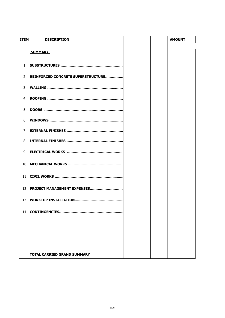| <b>ITEM</b>    | <b>DESCRIPTION</b>                 |  | <b>AMOUNT</b> |
|----------------|------------------------------------|--|---------------|
|                | <b>SUMMARY</b>                     |  |               |
| $\mathbf{1}$   |                                    |  |               |
| 2              | REINFORCED CONCRETE SUPERSTRUCTURE |  |               |
| 3              |                                    |  |               |
| 4              |                                    |  |               |
| 5              |                                    |  |               |
| 6              |                                    |  |               |
| $\overline{7}$ |                                    |  |               |
| 8              |                                    |  |               |
| 9              |                                    |  |               |
| 10             |                                    |  |               |
| 11             |                                    |  |               |
| 12             | <b>PROJECT MANAGEMENT EXPENSES</b> |  |               |
| 13             |                                    |  |               |
| 14             | CONTINGENCIES                      |  |               |
|                |                                    |  |               |
|                |                                    |  |               |
|                |                                    |  |               |
|                |                                    |  |               |
|                | <b>TOTAL CARRIED GRAND SUMMARY</b> |  |               |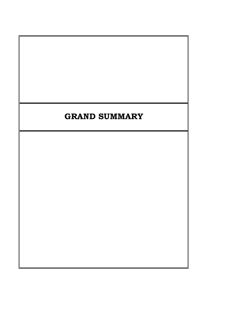## **GRAND SUMMARY**